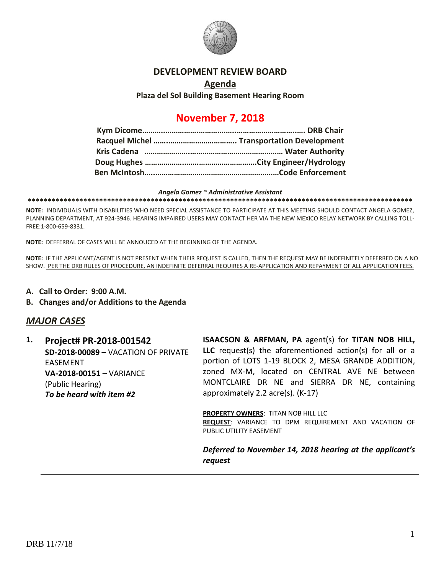

#### **DEVELOPMENT REVIEW BOARD**

### **Agenda Plaza del Sol Building Basement Hearing Room**

# **November 7, 2018**

#### *Angela Gomez ~ Administrative Assistant*

**\*\*\*\*\*\*\*\*\*\*\*\*\*\*\*\*\*\*\*\*\*\*\*\*\*\*\*\*\*\*\*\*\*\*\*\*\*\*\*\*\*\*\*\*\*\*\*\*\*\*\*\*\*\*\*\*\*\*\*\*\*\*\*\*\*\*\*\*\*\*\*\*\*\*\*\*\*\*\*\*\*\*\*\*\*\*\*\*\*\*\*\*\*\*\*\*\***

**NOTE:** INDIVIDUALS WITH DISABILITIES WHO NEED SPECIAL ASSISTANCE TO PARTICIPATE AT THIS MEETING SHOULD CONTACT ANGELA GOMEZ, PLANNING DEPARTMENT, AT 924-3946. HEARING IMPAIRED USERS MAY CONTACT HER VIA THE NEW MEXICO RELAY NETWORK BY CALLING TOLL-FREE:1-800-659-8331.

**NOTE:** DEFFERRAL OF CASES WILL BE ANNOUCED AT THE BEGINNING OF THE AGENDA.

**NOTE:** IF THE APPLICANT/AGENT IS NOT PRESENT WHEN THEIR REQUEST IS CALLED, THEN THE REQUEST MAY BE INDEFINITELY DEFERRED ON A NO SHOW. PER THE DRB RULES OF PROCEDURE, AN INDEFINITE DEFERRAL REQUIRES A RE-APPLICATION AND REPAYMENT OF ALL APPLICATION FEES.

- **A. Call to Order: 9:00 A.M.**
- **B. Changes and/or Additions to the Agenda**

### *MAJOR CASES*

**1. Project# PR-2018-001542 SD-2018-00089 –** VACATION OF PRIVATE EASEMENT **VA-2018-00151** – VARIANCE (Public Hearing) *To be heard with item #2*

**ISAACSON & ARFMAN, PA** agent(s) for **TITAN NOB HILL, LLC** request(s) the aforementioned action(s) for all or a portion of LOTS 1-19 BLOCK 2, MESA GRANDE ADDITION, zoned MX-M, located on CENTRAL AVE NE between MONTCLAIRE DR NE and SIERRA DR NE, containing approximately 2.2 acre(s). (K-17)

**PROPERTY OWNERS**: TITAN NOB HILL LLC **REQUEST**: VARIANCE TO DPM REQUIREMENT AND VACATION OF PUBLIC UTILITY EASEMENT

*Deferred to November 14, 2018 hearing at the applicant's request*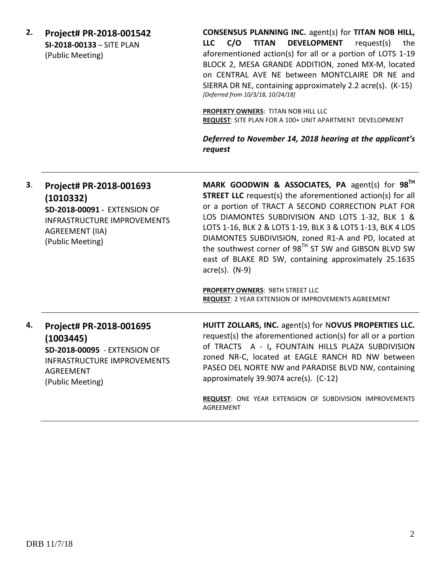**2. Project# PR-2018-001542 SI-2018-00133** – SITE PLAN (Public Meeting)

**CONSENSUS PLANNING INC.** agent(s) for **TITAN NOB HILL, LLC C/O TITAN DEVELOPMENT** request(s) the aforementioned action(s) for all or a portion of LOTS 1-19 BLOCK 2, MESA GRANDE ADDITION, zoned MX-M, located on CENTRAL AVE NE between MONTCLAIRE DR NE and SIERRA DR NE, containing approximately 2.2 acre(s). (K-15) *[Deferred from 10/3/18, 10/24/18]*

**PROPERTY OWNERS**: TITAN NOB HILL LLC **REQUEST**: SITE PLAN FOR A 100+ UNIT APARTMENT DEVELOPMENT

*Deferred to November 14, 2018 hearing at the applicant's request*

| 3. | Project# PR-2018-001693<br>(1010332)<br><b>SD-2018-00091 - EXTENSION OF</b><br><b>INFRASTRUCTURE IMPROVEMENTS</b><br>AGREEMENT (IIA)<br>(Public Meeting) | MARK GOODWIN & ASSOCIATES, PA agent(s) for $98TH$<br><b>STREET LLC</b> request(s) the aforementioned action(s) for all<br>or a portion of TRACT A SECOND CORRECTION PLAT FOR<br>LOS DIAMONTES SUBDIVISION AND LOTS 1-32, BLK 1 &<br>LOTS 1-16, BLK 2 & LOTS 1-19, BLK 3 & LOTS 1-13, BLK 4 LOS<br>DIAMONTES SUBDIVISION, zoned R1-A and PD, located at<br>the southwest corner of 98 <sup>TH</sup> ST SW and GIBSON BLVD SW<br>east of BLAKE RD SW, containing approximately 25.1635<br>$\arccos(5)$ . (N-9)<br><b>PROPERTY OWNERS: 98TH STREET LLC</b><br><b>REQUEST: 2 YEAR EXTENSION OF IMPROVEMENTS AGREEMENT</b> |
|----|----------------------------------------------------------------------------------------------------------------------------------------------------------|-----------------------------------------------------------------------------------------------------------------------------------------------------------------------------------------------------------------------------------------------------------------------------------------------------------------------------------------------------------------------------------------------------------------------------------------------------------------------------------------------------------------------------------------------------------------------------------------------------------------------|
| 4. | Project# PR-2018-001695<br>(1003445)<br>SD-2018-00095 - EXTENSION OF<br><b>INFRASTRUCTURE IMPROVEMENTS</b><br>AGREEMENT<br>(Public Meeting)              | HUITT ZOLLARS, INC. agent(s) for NOVUS PROPERTIES LLC.<br>request(s) the aforementioned action(s) for all or a portion<br>of TRACTS A - I, FOUNTAIN HILLS PLAZA SUBDIVISION<br>zoned NR-C, located at EAGLE RANCH RD NW between<br>PASEO DEL NORTE NW and PARADISE BLVD NW, containing<br>approximately 39.9074 acre(s). (C-12)<br><b>REQUEST: ONE YEAR EXTENSION OF SUBDIVISION IMPROVEMENTS</b><br>AGREEMENT                                                                                                                                                                                                        |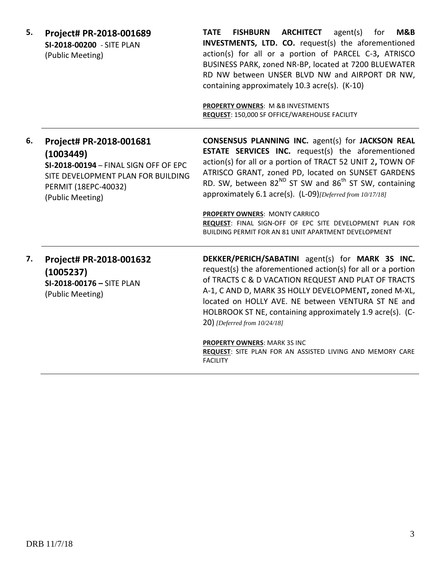| 5. | Project# PR-2018-001689<br>SI-2018-00200 - SITE PLAN<br>(Public Meeting)                                                                                        | $agent(s)$ for<br>FISHBURN ARCHITECT<br>M&B<br><b>TATE</b><br><b>INVESTMENTS, LTD. CO.</b> request(s) the aforementioned<br>action(s) for all or a portion of PARCEL C-3, ATRISCO<br>BUSINESS PARK, zoned NR-BP, located at 7200 BLUEWATER<br>RD NW between UNSER BLVD NW and AIRPORT DR NW,<br>containing approximately 10.3 acre(s). (K-10)<br>PROPERTY OWNERS: M &B INVESTMENTS<br>REQUEST: 150,000 SF OFFICE/WAREHOUSE FACILITY                                                                                                           |
|----|-----------------------------------------------------------------------------------------------------------------------------------------------------------------|-----------------------------------------------------------------------------------------------------------------------------------------------------------------------------------------------------------------------------------------------------------------------------------------------------------------------------------------------------------------------------------------------------------------------------------------------------------------------------------------------------------------------------------------------|
| 6. | Project# PR-2018-001681<br>(1003449)<br>SI-2018-00194 - FINAL SIGN OFF OF EPC<br>SITE DEVELOPMENT PLAN FOR BUILDING<br>PERMIT (18EPC-40032)<br>(Public Meeting) | <b>CONSENSUS PLANNING INC.</b> agent(s) for JACKSON REAL<br><b>ESTATE SERVICES INC.</b> request(s) the aforementioned<br>action(s) for all or a portion of TRACT 52 UNIT 2, TOWN OF<br>ATRISCO GRANT, zoned PD, located on SUNSET GARDENS<br>RD. SW, between 82 <sup>ND</sup> ST SW and 86 <sup>th</sup> ST SW, containing<br>approximately 6.1 acre(s). (L-09)[Deferred from 10/17/18]<br>PROPERTY OWNERS: MONTY CARRICO<br>REQUEST: FINAL SIGN-OFF OF EPC SITE DEVELOPMENT PLAN FOR<br>BUILDING PERMIT FOR AN 81 UNIT APARTMENT DEVELOPMENT |
| 7. | Project# PR-2018-001632<br>(1005237)<br>SI-2018-00176 - SITE PLAN<br>(Public Meeting)                                                                           | DEKKER/PERICH/SABATINI agent(s) for MARK 3S INC.<br>request(s) the aforementioned action(s) for all or a portion<br>of TRACTS C & D VACATION REQUEST AND PLAT OF TRACTS<br>A-1, C AND D, MARK 3S HOLLY DEVELOPMENT, zoned M-XL,<br>located on HOLLY AVE. NE between VENTURA ST NE and<br>HOLBROOK ST NE, containing approximately 1.9 acre(s). (C-<br>20) [Deferred from 10/24/18]<br><b>PROPERTY OWNERS: MARK 3S INC</b>                                                                                                                     |
|    |                                                                                                                                                                 | REQUEST: SITE PLAN FOR AN ASSISTED LIVING AND MEMORY CARE<br><b>FACILITY</b>                                                                                                                                                                                                                                                                                                                                                                                                                                                                  |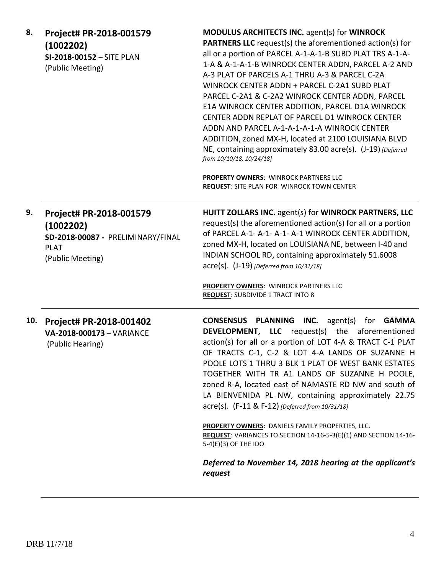| 8.  | Project# PR-2018-001579<br>(1002202)<br>SI-2018-00152 - SITE PLAN<br>(Public Meeting)                        | <b>MODULUS ARCHITECTS INC. agent(s) for WINROCK</b><br><b>PARTNERS LLC</b> request(s) the aforementioned action(s) for<br>all or a portion of PARCEL A-1-A-1-B SUBD PLAT TRS A-1-A-<br>1-A & A-1-A-1-B WINROCK CENTER ADDN, PARCEL A-2 AND<br>A-3 PLAT OF PARCELS A-1 THRU A-3 & PARCEL C-2A<br>WINROCK CENTER ADDN + PARCEL C-2A1 SUBD PLAT<br>PARCEL C-2A1 & C-2A2 WINROCK CENTER ADDN, PARCEL<br>E1A WINROCK CENTER ADDITION, PARCEL D1A WINROCK<br>CENTER ADDN REPLAT OF PARCEL D1 WINROCK CENTER<br>ADDN AND PARCEL A-1-A-1-A-1-A WINROCK CENTER<br>ADDITION, zoned MX-H, located at 2100 LOUISIANA BLVD<br>NE, containing approximately 83.00 acre(s). (J-19) [Deferred<br>from 10/10/18, 10/24/18] |
|-----|--------------------------------------------------------------------------------------------------------------|-----------------------------------------------------------------------------------------------------------------------------------------------------------------------------------------------------------------------------------------------------------------------------------------------------------------------------------------------------------------------------------------------------------------------------------------------------------------------------------------------------------------------------------------------------------------------------------------------------------------------------------------------------------------------------------------------------------|
|     |                                                                                                              | PROPERTY OWNERS: WINROCK PARTNERS LLC<br><b>REQUEST: SITE PLAN FOR WINROCK TOWN CENTER</b>                                                                                                                                                                                                                                                                                                                                                                                                                                                                                                                                                                                                                |
| 9.  | Project# PR-2018-001579<br>(1002202)<br>SD-2018-00087 - PRELIMINARY/FINAL<br><b>PLAT</b><br>(Public Meeting) | HUITT ZOLLARS INC. agent(s) for WINROCK PARTNERS, LLC<br>request(s) the aforementioned action(s) for all or a portion<br>of PARCEL A-1- A-1- A-1- A-1 WINROCK CENTER ADDITION,<br>zoned MX-H, located on LOUISIANA NE, between I-40 and<br>INDIAN SCHOOL RD, containing approximately 51.6008<br>$\text{acre}(s)$ . (J-19) [Deferred from 10/31/18]<br><b>PROPERTY OWNERS: WINROCK PARTNERS LLC</b><br><b>REQUEST: SUBDIVIDE 1 TRACT INTO 8</b>                                                                                                                                                                                                                                                           |
| 10. | Project# PR-2018-001402<br>VA-2018-000173 - VARIANCE<br>(Public Hearing)                                     | CONSENSUS PLANNING INC.<br>$agent(s)$ for<br><b>GAMMA</b><br><b>DEVELOPMENT, LLC</b> request(s) the aforementioned<br>action(s) for all or a portion of LOT 4-A & TRACT C-1 PLAT<br>OF TRACTS C-1, C-2 & LOT 4-A LANDS OF SUZANNE H<br>POOLE LOTS 1 THRU 3 BLK 1 PLAT OF WEST BANK ESTATES<br>TOGETHER WITH TR A1 LANDS OF SUZANNE H POOLE,<br>zoned R-A, located east of NAMASTE RD NW and south of<br>LA BIENVENIDA PL NW, containing approximately 22.75<br>acre(s). (F-11 & F-12) [Deferred from 10/31/18]<br>PROPERTY OWNERS: DANIELS FAMILY PROPERTIES, LLC.<br>REQUEST: VARIANCES TO SECTION 14-16-5-3(E)(1) AND SECTION 14-16-<br>5-4(E)(3) OF THE IDO                                            |
|     |                                                                                                              | Deferred to November 14, 2018 hearing at the applicant's<br>request                                                                                                                                                                                                                                                                                                                                                                                                                                                                                                                                                                                                                                       |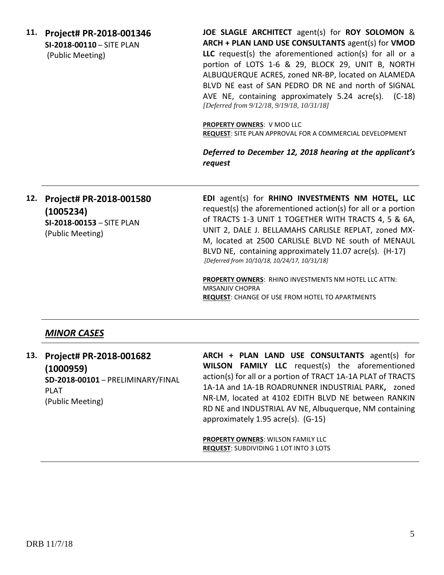**11. Project# PR-2018-001346 SI-2018-00110** – SITE PLAN

(Public Meeting)

**JOE SLAGLE ARCHITECT** agent(s) for **ROY SOLOMON** & **ARCH + PLAN LAND USE CONSULTANTS** agent(s) for **VMOD LLC** request(s) the aforementioned action(s) for all or a portion of LOTS 1-6 & 29, BLOCK 29, UNIT B, NORTH ALBUQUERQUE ACRES, zoned NR-BP, located on ALAMEDA BLVD NE east of SAN PEDRO DR NE and north of SIGNAL AVE NE, containing approximately 5.24 acre(s). (C-18) *[Deferred from 9/12/18, 9/19/18, 10/31/18]*

**PROPERTY OWNERS**: V MOD LLC **REQUEST**: SITE PLAN APPROVAL FOR A COMMERCIAL DEVELOPMENT

*Deferred to December 12, 2018 hearing at the applicant's request*

# **12. Project# PR-2018-001580 (1005234) SI-2018-00153** – SITE PLAN (Public Meeting)

**EDI** agent(s) for **RHINO INVESTMENTS NM HOTEL, LLC** request(s) the aforementioned action(s) for all or a portion of TRACTS 1-3 UNIT 1 TOGETHER WITH TRACTS 4, 5 & 6A, UNIT 2, DALE J. BELLAMAHS CARLISLE REPLAT, zoned MX-M, located at 2500 CARLISLE BLVD NE south of MENAUL BLVD NE, containing approximately 11.07 acre(s). (H-17) *[Deferred from 10/10/18, 10/24/17, 10/31/18]*

**PROPERTY OWNERS**: RHINO INVESTMENTS NM HOTEL LLC ATTN: MRSANJIV CHOPRA **REQUEST**: CHANGE OF USE FROM HOTEL TO APARTMENTS

## *MINOR CASES*

**13. Project# PR-2018-001682 (1000959) SD-2018-00101** – PRELIMINARY/FINAL PLAT (Public Meeting)

**ARCH + PLAN LAND USE CONSULTANTS** agent(s) for **WILSON FAMILY LLC** request(s) the aforementioned action(s) for all or a portion of TRACT 1A-1A PLAT of TRACTS 1A-1A and 1A-1B ROADRUNNER INDUSTRIAL PARK**,** zoned NR-LM, located at 4102 EDITH BLVD NE between RANKIN RD NE and INDUSTRIAL AV NE, Albuquerque, NM containing approximately 1.95 acre(s). (G-15)

**PROPERTY OWNERS**: WILSON FAMILY LLC **REQUEST**: SUBDIVIDING 1 LOT INTO 3 LOTS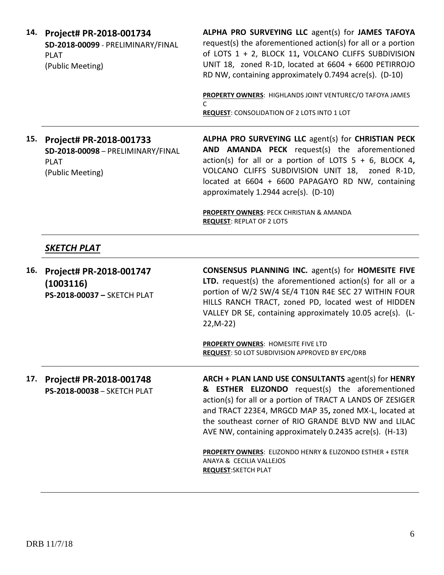| 14. | Project# PR-2018-001734<br>SD-2018-00099 - PRELIMINARY/FINAL<br><b>PLAT</b><br>(Public Meeting) | ALPHA PRO SURVEYING LLC agent(s) for JAMES TAFOYA<br>request(s) the aforementioned action(s) for all or a portion<br>of LOTS 1 + 2, BLOCK 11, VOLCANO CLIFFS SUBDIVISION<br>UNIT 18, zoned R-1D, located at 6604 + 6600 PETIRROJO<br>RD NW, containing approximately 0.7494 acre(s). (D-10)<br>PROPERTY OWNERS: HIGHLANDS JOINT VENTUREC/O TAFOYA JAMES<br>$\mathsf{C}$<br><b>REQUEST: CONSOLIDATION OF 2 LOTS INTO 1 LOT</b>                                                       |
|-----|-------------------------------------------------------------------------------------------------|-------------------------------------------------------------------------------------------------------------------------------------------------------------------------------------------------------------------------------------------------------------------------------------------------------------------------------------------------------------------------------------------------------------------------------------------------------------------------------------|
| 15. | Project# PR-2018-001733<br>SD-2018-00098 - PRELIMINARY/FINAL<br><b>PLAT</b><br>(Public Meeting) | ALPHA PRO SURVEYING LLC agent(s) for CHRISTIAN PECK<br>AND AMANDA PECK request(s) the aforementioned<br>action(s) for all or a portion of LOTS $5 + 6$ , BLOCK 4,<br>VOLCANO CLIFFS SUBDIVISION UNIT 18, zoned R-1D,<br>located at 6604 + 6600 PAPAGAYO RD NW, containing<br>approximately 1.2944 acre(s). (D-10)<br>PROPERTY OWNERS: PECK CHRISTIAN & AMANDA<br><b>REQUEST: REPLAT OF 2 LOTS</b>                                                                                   |
|     | SKETCH PLAT                                                                                     |                                                                                                                                                                                                                                                                                                                                                                                                                                                                                     |
| 16. | Project# PR-2018-001747<br>(1003116)<br>PS-2018-00037 - SKETCH PLAT                             | <b>CONSENSUS PLANNING INC.</b> agent(s) for <b>HOMESITE FIVE</b><br>LTD. request(s) the aforementioned action(s) for all or a<br>portion of W/2 SW/4 SE/4 T10N R4E SEC 27 WITHIN FOUR<br>HILLS RANCH TRACT, zoned PD, located west of HIDDEN<br>VALLEY DR SE, containing approximately 10.05 acre(s). (L-<br>$22, M-22)$                                                                                                                                                            |
|     |                                                                                                 | <b>PROPERTY OWNERS: HOMESITE FIVE LTD</b><br><b>REQUEST: 50 LOT SUBDIVISION APPROVED BY EPC/DRB</b>                                                                                                                                                                                                                                                                                                                                                                                 |
| 17. | Project# PR-2018-001748<br>PS-2018-00038 - SKETCH PLAT                                          | ARCH + PLAN LAND USE CONSULTANTS agent(s) for HENRY<br>& ESTHER ELIZONDO request(s) the aforementioned<br>action(s) for all or a portion of TRACT A LANDS OF ZESIGER<br>and TRACT 223E4, MRGCD MAP 35, zoned MX-L, located at<br>the southeast corner of RIO GRANDE BLVD NW and LILAC<br>AVE NW, containing approximately 0.2435 acre(s). (H-13)<br><b>PROPERTY OWNERS: ELIZONDO HENRY &amp; ELIZONDO ESTHER + ESTER</b><br>ANAYA & CECILIA VALLEJOS<br><b>REQUEST: SKETCH PLAT</b> |